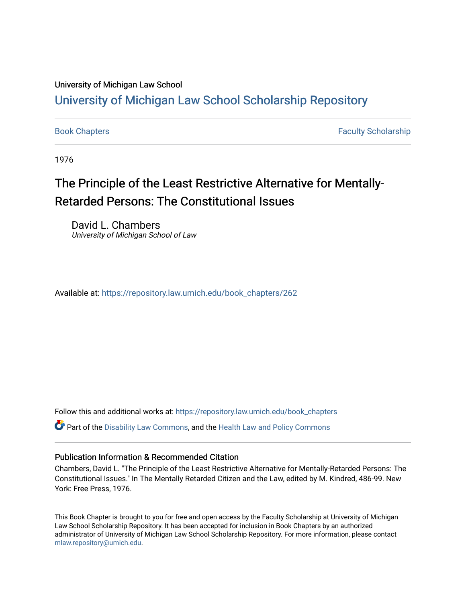#### University of Michigan Law School

## [University of Michigan Law School Scholarship Repository](https://repository.law.umich.edu/)

[Book Chapters](https://repository.law.umich.edu/book_chapters) Faculty Scholarship

1976

## The Principle of the Least Restrictive Alternative for Mentally-Retarded Persons: The Constitutional Issues

David L. Chambers University of Michigan School of Law

Available at: [https://repository.law.umich.edu/book\\_chapters/262](https://repository.law.umich.edu/book_chapters/262) 

Follow this and additional works at: [https://repository.law.umich.edu/book\\_chapters](https://repository.law.umich.edu/book_chapters?utm_source=repository.law.umich.edu%2Fbook_chapters%2F262&utm_medium=PDF&utm_campaign=PDFCoverPages)

Part of the [Disability Law Commons](https://network.bepress.com/hgg/discipline/1074?utm_source=repository.law.umich.edu%2Fbook_chapters%2F262&utm_medium=PDF&utm_campaign=PDFCoverPages), and the [Health Law and Policy Commons](https://network.bepress.com/hgg/discipline/901?utm_source=repository.law.umich.edu%2Fbook_chapters%2F262&utm_medium=PDF&utm_campaign=PDFCoverPages) 

### Publication Information & Recommended Citation

Chambers, David L. "The Principle of the Least Restrictive Alternative for Mentally-Retarded Persons: The Constitutional Issues." In The Mentally Retarded Citizen and the Law, edited by M. Kindred, 486-99. New York: Free Press, 1976.

This Book Chapter is brought to you for free and open access by the Faculty Scholarship at University of Michigan Law School Scholarship Repository. It has been accepted for inclusion in Book Chapters by an authorized administrator of University of Michigan Law School Scholarship Repository. For more information, please contact [mlaw.repository@umich.edu.](mailto:mlaw.repository@umich.edu)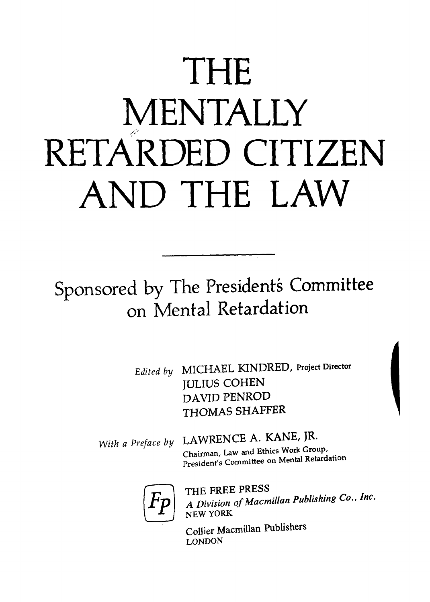# THE MENTALLY RETARDED CITIZEN AND THE LAW

Sponsored by The President's Committee on Mental Retardation

> *Edited* by MICHAEL KINDRED, Project Director JULIUS COHEN DAVID PENROD THOMAS SHAFFER

With a Preface by LAWRENCE A. KANE, JR. Chairman, Law and Ethics Work Group, . President's Committee on Mental Retardation



THE FREE PRESS *A Division of Macmillan Publishing Co., Inc.*  NEW **YORK** 

Collier Macmillan Publishers LONDON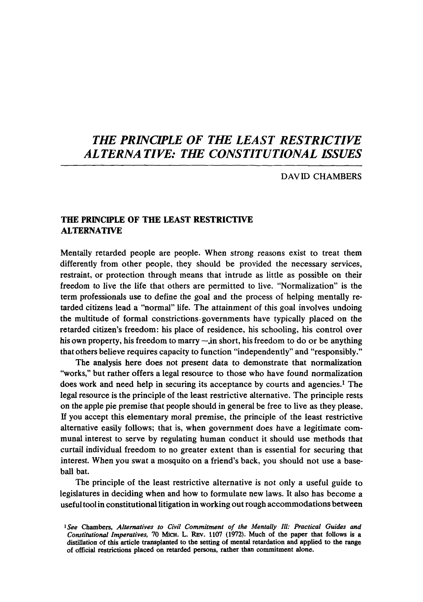## *THE PRINCIPLE OF THE LEAST RESTRICTIVE ALTERNATIVE: THE CONSTITUTIONAL ISSUES*

DAVID CHAMBERS

#### **THE PRINCIPLE OF THE LEAST RESTRICTIVE ALTERNATIVE**

Mentally retarded people are people. When strong reasons exist to treat them differently from other people, they should be provided the necessary services, restraint, or protection through means that intrude as little as possible on their freedom to live the life that others are permitted to live. "Normalization" is the term professionals use to define the goal and the process of helping mentally retarded citizens lead a "normal" life. The attainment of this goal involves undoing the multitude of formal constrictions. governments have typically placed on the retarded citizen's freedom: his place of residence, his schooling, his control over his own property, his freedom to marry  $-\sin$  short, his freedom to do or be anything that others believe requires capacity to function "independently" and "responsibly."

The analysis here does not present data to demonstrate that normalization "works," but rather offers a legal resource to those who have found normalization does work and need help in securing its acceptance by courts and agencies.<sup>1</sup> The legal resource is the principle of the least restrictive alternative. The principle rests on the apple pie premise that people should in general be free to live as they please. If you accept this elementary moral premise, the principle of the least restrictive alternative easily follows; that is, when government does have a legitimate communal interest to serve by regulating human conduct it should use methods that curtail individual freedom to no greater extent than is essential for securing that interest. When you swat a mosquito on a friend's back, you should not use a baseball bat.

The principle of the least restrictive alternative is not only a useful guide to legislatures in deciding when and how to formulate new laws. It also has become a useful tool in constitutional litigation in working out rough accommodations between

<sup>1</sup>*See* Chambers, *Alternatives to Civil Commitment of the Mentally Ill: Practical Guides and Constitutional Imperatives,* 70 MICH. L. RBv. 1107 (1972). Much of the paper that follows is a distillation of this article transplanted to the setting of mental retardation and applied to the range of official restrictions placed on retarded persons, rather than commitment alone.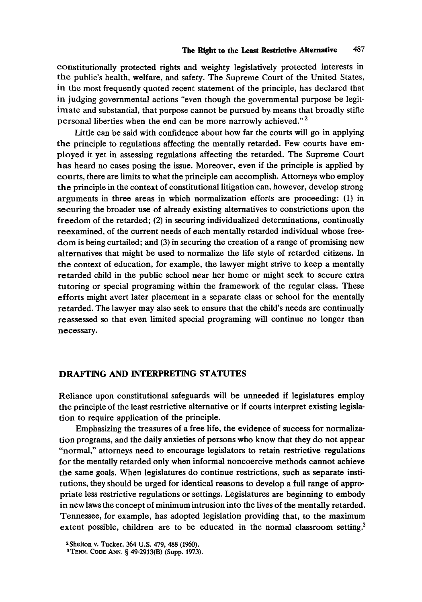constitutionally protected rights and weighty legislatively protected interests in the public's health, welfare, and safety. The Supreme Court of the United States, **in** the most frequently quoted recent statement of the principle, has declared that **in** judging governmental actions "even though the governmental purpose be legitimate and substantial, that purpose cannot be pursued by means that broadly stifle personal liberties when the end can be more narrowly achieved." <sup>2</sup>

Little can be said with confidence about how far the courts will go in applying the principle to regulations affecting the mentally retarded. Few courts have employed it yet in assessing regulations affecting the retarded. The Supreme Court has heard no cases posing the issue. Moreover, even if the principle is applied by courts, there are limits to what the principle can accomplish. Attorneys who employ the principle in the context of constitutional litigation can, however, develop strong arguments in three areas in which normalization efforts are proceeding: (1) in securing the broader use of already existing alternatives to constrictions upon the freedom of the retarded; (2) in securing individualized determinations, continually reexamined, of the current needs of each mentally retarded individual whose freedom is being curtailed; and (3) in securing the creation of a range of promising new alternatives that might be used to normalize the life style of retarded citizens. In the context of education, for example, the lawyer might strive to keep a mentally retarded child in the public school near her home or might seek to secure extra tutoring or special programing within the framework of the regular class. These efforts might avert later placement in a separate class or school for the mentally retarded. The lawyer may also seek to ensure that the child's needs are continually reassessed so that even limited special programing will continue no longer than necessary.

#### **DRAFTING AND INTERPRETING STATUTES**

Reliance upon constitutional safeguards will be unneeded if legislatures employ the principle of the least restrictive alternative or if courts interpret existing legislation to require application of the principle.

Emphasizing the treasures of a free life, the evidence of success for normalization programs, and the daily anxieties of persons who know that they do not appear "normal," attorneys need to encourage legislators to retain restrictive regulations for the mentally retarded only when informal noncoercive methods cannot achieve the same goals. When legislatures do continue restrictions, such as separate institutions, they should be urged for identical reasons to develop a full range of appropriate less restrictive regulations or settings. Legislatures are beginning to embody in new laws the concept of minimum intrusion into the lives of the mentally retarded. Tennessee, for example, has adopted legislation providing that, to the maximum extent possible, children are to be educated in the normal classroom setting.<sup>3</sup>

<sup>2</sup> Shelton v. Tucker, 364 U.S. 479, 488 (1960). 3TENN. CODE ANN. § 49-2913(8) (Supp. 1973).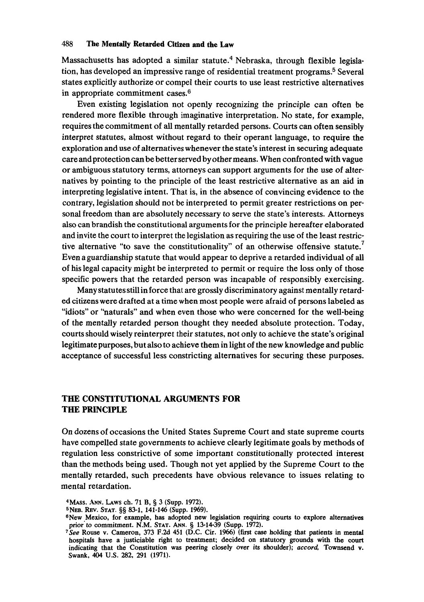Massachusetts has adopted a similar statute.<sup>4</sup> Nebraska, through flexible legislation, has developed an impressive range of residential treatment programs.<sup>5</sup> Several states explicitly authorize or compel their courts to use least restrictive alternatives in appropriate commitment cases.<sup>6</sup>

Even existing legislation not openly recognizing the principle can often be rendered more flexible through imaginative interpretation. No state, for example, requires the commitment of all mentally retarded persons. Courts can often sensibly interpret statutes, almost without regard to their operant language, to require the exploration and use of alternatives whenever the state's interest in securing adequate care and protection can be better served by other means. When confronted with vague or ambiguous statutory terms, attorneys can support arguments for the use of alternatives by pointing to the principle of the least restrictive alternative as an aid in interpreting legislative intent. That is, in the absence of convincing evidence to the contrary, legislation should not be interpreted to permit greater restrictions on personal freedom than are absolutely necessary to serve the state's interests. Attorneys also can brandish the constitutional arguments for the principle hereafter elaborated and invite the court to interpret the legislation as requiring the use of the least restrictive alternative "to save the constitutionality" of an otherwise offensive statute. Even a guardianship statute that would appear to deprive a retarded individual of all of his legal capacity might be interpreted to permit or require the loss only of those specific powers that the retarded person was incapable of responsibly exercising.

Many statutes still in force that are grossly discriminatory against mentally retarded citizens were drafted at a time when most people were afraid of persons labeled as "idiots" or "naturals" and when even those who were concerned for the well-being of the mentally retarded person thought they needed absolute protection. Today, courts should wisely reinterpret their statutes, not only to achieve the state's original legitimate purposes, but also to achieve them in light of the new knowledge and public acceptance of successful less constricting alternatives for securing these purposes.

#### **THE CONSTITUTIONAL ARGUMENTS FOR THE PRINCIPLE**

On dozens of occasions the United States Supreme Court and state supreme courts have compelled state governments to achieve clearly legitimate goals by methods of regulation less constrictive of some important constitutionally protected interest than the methods being used. Though not yet applied by the Supreme Court to the mentally retarded, such precedents have obvious relevance to issues relating to mental retardation.

<sup>4</sup>MAss. ANN. LAWS ch. 71 B, § 3 (Supp. 1972).

<sup>&</sup>lt;sup>6</sup>New Mexico, for example, has adopted new legislation requiring courts to explore alternatives prior· to commitment. **N.M.** STAT. ANN. § 13-14-39 (Supp. 1972).

*<sup>1</sup> See* Rouse v. Cameron, 373 F.2d 451 (D.C. Cir. 1966) (first case holding that patients in mental hospitals have a justiciable right to treatment; decided on statutory grounds with the court indicating that the Constitution was peering closely over its shoulder); accord, Townsend v. Swank, 404 U.S. 282, 291 (1971).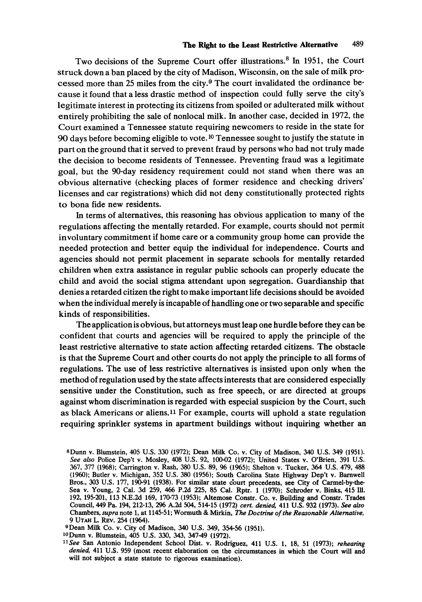Two decisions of the Supreme Court offer illustrations.<sup>8</sup> In 1951, the Court struck down a ban placed by the city of Madison, Wisconsin, on the sale of milk processed more than 25 miles from the city.<sup>9</sup> The court invalidated the ordinance because it found that a less drastic method of inspection could fully serve the city's legitimate interest in protecting its citizens from spoiled or adulterated milk without entirely prohibiting the sale of nonlocal milk. In another case, decided in 1972, the Court examined a Tennessee statute requiring newcomers to reside in the state for 90 days before becoming eligible to vote.  $10$  Tennessee sought to justify the statute in part on the ground that it served to prevent fraud by persons who had not truly made the decision to become residents of Tennessee. Preventing fraud was a legitimate goal, but the 90-day residency requirement could not stand when there was an obvious alternative (checking places of former residence and checking drivers' licenses and car registrations) which did not deny constitutionally protected rights to bona fide new residents.

In terms of alternatives, this reasoning has obvious application to many of the regulations affecting the mentally retarded. For example, courts should not permit involuntary commitment if home care or a community group home can provide the needed protection and better equip the individual for independence. Courts and agencies should not permit placement in separate schools for mentally retarded children when extra assistance in regular public schools can properly educate the child and avoid the social stigma attendant upon segregation. Guardianship that denies a retarded citizen the right to make important life decisions should be avoided when the individual merely is incapable of handling one or two separable and specific kinds of responsibilities.

The application is obvious, but attorneys must leap one hurdle before they can be confident that courts and agencies will be required to apply the principle of the least restrictive alternative to state action affecting retarded citizens. The obstacle is that the Supreme Court and other courts do not apply the principle to all forms of regulations. The use of less restrictive alternatives is insisted upon only when the method of regulation used by the state affects interests that are considered especially sensitive under the Constitution, such as free speech, or are directed at groups against whom discrimination is regarded with especial suspicion by the Court, such as black Americans or aliens.<sup>11</sup> For example, courts will uphold a state regulation requiring sprinkler systems in apartment buildings without inquiring whether an

<sup>8</sup> Dunn v. Blumstein, 405 U.S. 330 (1972); Dean Milk Co. v. City of Madison, 340 U.S. 349 (1951). *See also* Police Dep't v. Mosley, 408 U.S. 92, 100-02 (1972); United States v. O'Brien, 391 U.S. 367, 377 (1968); Carrington v. Rash, 380 U.S. 89, 96 (1965); Shelton v. Tucker, 364 U.S. 479, 488 (1960); Butler v. Michigan, 352 U.S. 380 (1956); South Carolina State Highway Dep't v. Barnwell Bros., 303 U.S. 177, 190-91 (1938). For similar state court precedents, see City of Carmel-by-the-Sea v. Young, 2 Cal. 3d 259, 466 P.2d 225, 85 Cal. Rptr. 1 (1970); Schroder v. Binks, 415 Ill. 192, 195-201, 113 N.E.2d 169, 170-73 (1953); Altemose Constr. Co. v. Building and Constr. Trades Council, 449 Pa. 194, 212-13, 296 A.2d 504, 514-15 (1972) *cert. denied,* 411 U.S. 932 (1973). *See also*  Chambers, *supra* note 1, at 1145-51; Wormuth & Mirkin, *The Doctrine of the Reasonable Alternative,*  9 UTAH L. REV. 254 (1964).

<sup>9</sup>Dean Milk Co. v. City of Madison, 340 U.S. 349, 354-56 (1951).

<sup>10</sup>Dunn v. Blumstein, 405 U.S. 330, 343, 347-49 (1972).

*llSee* San Antonio Independent School Dist. v. Rodriguez, 411 U.S. 1, 18, 51 (1973); *rehearing denied,* 411 U.S. 959 (most recent elaboration on the circumstances in which the Court will and will not subject a state statute to rigorous examination).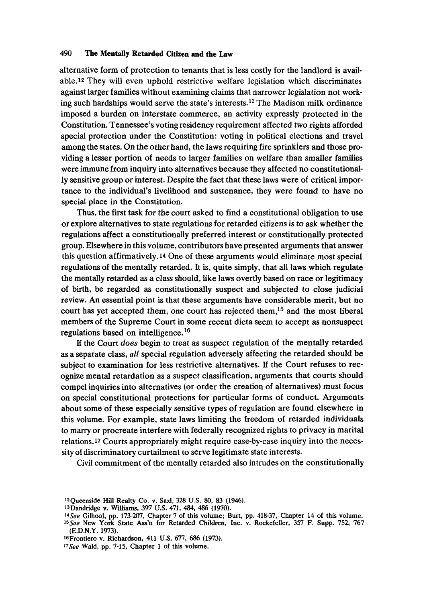alternative form of protection to tenants that is less costly for the landlord is available.12 They will even uphold restrictive welfare legislation which discriminates against larger families without examining claims that narrower legislation not working such hardships would serve the state's interests.<sup>13</sup> The Madison milk ordinance imposed a burden on interstate commerce, an activity expressly protected in the Constitution. Tennessee's voting residency requirement affected two rights afforded special protection under the Constitution: voting in political elections and travel among the states. On the other hand, the laws requiring fire sprinklers and those providing a lesser portion of needs to larger families on welfare than smaller families were immune from inquiry into alternatives because they affected no constitutionally sensitive group or interest. Despite the fact that these laws were of critical importance to the individual's livelihood and sustenance, they were found to have no special place in the Constitution.

Thus, the first task for the court asked to find a constitutional obligation to use or explore alternatives to state regulations for retarded citizens is to ask whether the regulations affect a constitutionally preferred interest or constitutionally protected group. Elsewhere in this volume, contributors have presented arguments that answer this question affirmatively.14 One of these arguments would eliminate most special regulations of the mentally retarded. It is, quite simply, that all laws which regulate the mentally retarded as a class should, like laws overtly based on race or legitimacy of birth, be regarded as constitutionally suspect and subjected to close judicial review. An essential point is that these arguments have considerable merit, but no court has yet accepted them, one court has rejected them, 15 and the most liberal members of the Supreme Court in some recent dicta seem to accept as nonsuspect regulations based on intelligence. 16

H the Court does begin to treat as suspect regulation of the mentally retarded as a separate class, *all* special regulation adversely affecting the retarded should be subject to examination for less restrictive alternatives. H the Court refuses to recognize mental retardation as a suspect classification, arguments that courts should compel inquiries into alternatives (or order the creation of alternatives) must focus on special constitutional protections for particular forms of conduct. Arguments about some of these especially sensitive types of regulation are found elsewhere in this volume. For example, state laws limiting the freedom of retarded individuals to marry or procreate interfere with federally recognized rights to privacy in marital relations.17 Courts appropriately might require case-by-case inquiry into the necessity of discriminatory curtailment to serve legitimate state interests.

Civil commitment of the mentally retarded also intrudes on the constitutionally

(E.D.N.Y. 1973). 16Frontiero v. Richardson, 411 U.S. 677, 686 (1973).

<sup>12</sup>Queenside Hill Realty Co. v. Saxl, 328 U.S. 80, 83 (1946). 13Dandridge v. Williams, 397 U.S. 471, 484, 486 (1970).

<sup>14</sup> See Gilhool, pp. 173-207, Chapter 7 of this volume; Burt, pp. 418-37, Chapter 14 of this volume. 15See New York State Ass'n for Retarded Children, Inc. v. Rockefeller, 357 F. Supp. 752, 767

<sup>17</sup> See Wald, pp. 7-15, Chapter 1 of this volume.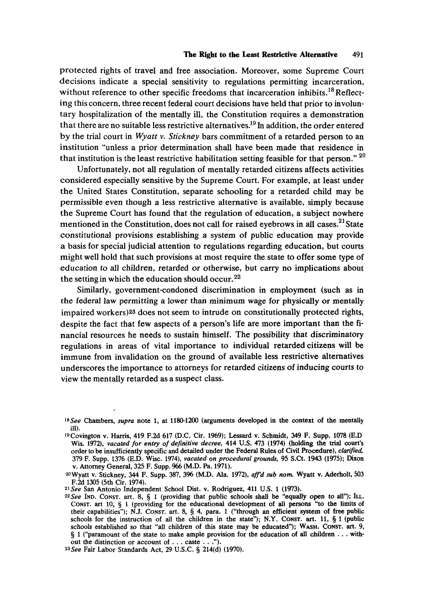#### **The Right to the Least Restrictive Alternative** 491

protected rights of travel and free association. Moreover, some Supreme Court decisions indicate a special sensitivity to regulations permitting incarceration, without reference to other specific freedoms that incarceration inhibits.<sup>18</sup> Reflecting this concern, three recent federal court decisions have held that prior to involuntary hospitalization of the mentally ill, the Constitution requires a demonstration that there are no suitable less restrictive alternatives.<sup>19</sup> In addition, the order entered by the trial court in *Wyatt v. Stickney* bars commitment of a retarded person to an institution "unless a prior determination shall have been made that residence in that institution is the least restrictive habilitation setting feasible for that person."  $20$ 

Unfortunately, not all regulation of mentally retarded citizens affects activities considered especially sensitive by the Supreme Court. For example, at least under the United States Constitution, separate schooling for a retarded child may be permissible even though a less restrictive alternative is available, simply because the Supreme Court has found that the regulation of education, a subject nowhere mentioned in the Constitution, does not call for raised eyebrows in all cases.<sup>21</sup> State constitutional provisions establishing a system of public education may provide a basis for special judicial attention to regulations regarding education, but courts might well hold that such provisions at most require the state to offer some type of education to all children, retarded or otherwise, but carry no implications about the setting in which the education should occur.  $22$ 

Similarly, government-condoned discrimination in employment (such as in the federal law permitting a lower than minimum wage for physically or mentally impaired workers)23 does not seem to intrude on constitutionally protected rights, despite the fact that few aspects of a person's life are more important than the financial resources he needs to sustain himself. The possibility that discriminatory regulations in areas of vital importance to individual retarded citizens will be immune from invalidation on the ground of available less restrictive alternatives underscores the importance to attorneys for retarded citizens of inducing courts to view the mentally retarded as a suspect class.

<sup>1</sup>ssee Chambers, *supra* note 1, at 1180-1200 (arguments developed in the context of the mentally ill).

I9Covington v. Harris, 419 F.2d 617 (D.C. Cir. 1969); Lessard v. Schmidt, 349 F. Supp. 1078 (E.D Wis. 1972), *vacated for entry of definitive decree,* 414 U.S. 473 (1974) (holding the trial court's order to be insufficiently specific and detailed under the Federal Rules of Civil Procedure), *clarified,*  379 F. Supp. 1376 (E.D. Wisc. 1974), *vacated on procedural grounds,* 95 S.Ct. 1943 (1975); Dixon v. Attorney General, 325 F. Supp. 966 (M.D. Pa. 1971).

<sup>20</sup>wyatt v. Stickney, 344 F. Supp. 387, 396 (M.D. Ala. 1972), *a/fd sub nom.* Wyatt v. Aderholt, 503

F.2d 1305 (5th Cir. 1974). 21 *See* San Antonio Independent School Dist. v. Rodriguez, 411 U.S. 1 (1973).

<sup>&</sup>lt;sup>22</sup> See IND. CONST. art. 8, § 1 (providing that public schools shall be "equally open to all"); ILL. CONST. art 10, § 1 (providing for the educational development of all persons "to the limits of their capabilities"); N.J. CONST. art. 8, § 4, para. 1 ("through an efficient system of free public schools for the instruction of all the children in the state"); N.Y. CONST. art. 11,  $\S$  1 (public schools established so that "all children of this state may be educated"); WASH. CONST. art. 9, § 1 ("paramount of the state to make ample provision for the education of all children ... without the distinction or account of ... caste ... ").

<sup>23</sup>See Fair Labor Standards Act, 29 U.S.C. § 214(d) (1970).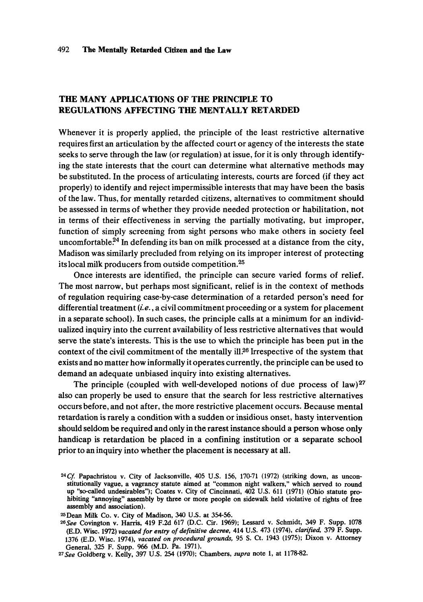#### **THE MANY APPLICATIONS OF THE PRINCIPLE TO REGULATIONS AFFECTING THE MENTALLY RETARDED**

Whenever it is properly applied, the principle of the least restrictive alternative requires first an articulation by the affected court or agency of the interests the state seeks to serve through the law (or regulation) at issue, for it is only through identifying the state interests that the court can determine what alternative methods may be substituted. In the process of articulating interests, courts are forced (if they act properly) to identify and reject impermissible interests that may have been the basis of the law. Thus, for mentally retarded citizens, alternatives to commitment should be assessed in terms of whether they provide needed protection or habilitation, not in terms of their effectiveness in serving the partially motivating, but improper, function of simply screening from sight persons who make others in society feel uncomfortable.<sup>24</sup> In defending its ban on milk processed at a distance from the city, Madison was similarly precluded from relying on its improper interest of protecting its local milk producers from outside competition.<sup>25</sup>

Once interests are identified, the principle can secure varied forms of relief. The most narrow, but perhaps most significant, relief is in the context of methods of regulation requiring case-by-case determination of a retarded person's need for differential treatment  $(i.e., a civil commitment proceeding or a system for placement$ in a separate school). In such cases, the principle calls at a minimum for an individualized inquiry into the current availability of less restrictive alternatives that would serve the state's interests. This is the use to which the principle has been put in the context of the civil commitment of the mentally ill.26 Irrespective of the system that exists and no matter how informally it operates currently, the principle can be used to demand an adequate unbiased inquiry into existing alternatives.

The principle (coupled with well-developed notions of due process of law) $2^7$ also can properly be used to ensure that the search for less restrictive alternatives occurs before, and not after, the more restrictive placement occurs. Because mental retardation is rarely a condition with a sudden or insidious onset, hasty intervention should seldom be required and only in the rarest instance should a person whose only handicap is retardation be placed in a confining institution or a separate school prior to an inquiry into whether the placement is necessary at all.

 $24Cf$ . Papachristou v. City of Jacksonville, 405 U.S. 156, 170-71 (1972) (striking down, as unconstitutionally vague, a vagrancy statute aimed at "common night walkers," which served to round up "so-called undesirables"); Coates v. City of Cincinnati, 402 U.S. 611 (1971) (Ohio statute prohibiting "annoying" assembly by three or more people on sidewalk held violative of rights of free assembly and association).

<sup>250</sup>ean Milk Co. v. City of Madison, 340 U.S. at 354-56.

<sup>26</sup> See Covington v. Harris, 419 F.2d 617 (D.C. Cir. 1969); Lessard v. Schmidt, 349 F. Supp. 1078 (E.D. Wisc. 1972) *vacated for entry of definitive decree,* 414 U.S. 473 (1974), *clarified,* 379 F. Supp. 1376 (E.D. Wisc. 1974), *vacated on procedural grounds,* 95 S. Ct. 1943 (1975); Dixon v. Attorney General, 325 F. Supp. 966 (M.D. Pa. 1971).

<sup>21</sup> *See* Goldberg v. Kelly, 397 U.S. 254 (1970); Chambers, *supra* note 1, at 1178-82.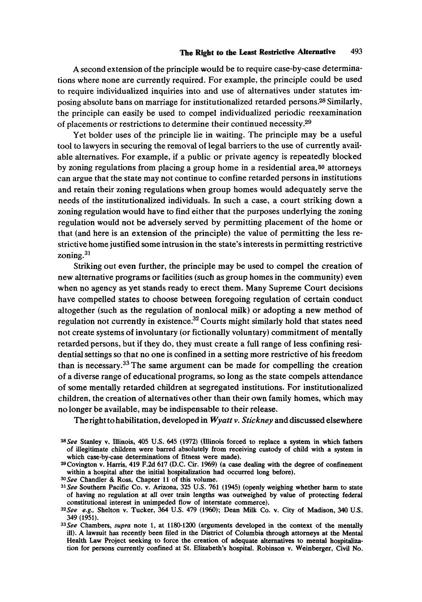A second extension of the principle would be to require case-by-case determinations where none are currently required. For example, the principle could be used to require individualized inquiries into and use of alternatives under statutes imposing absolute bans on marriage for institutionalized retarded persons.28 Similarly, the principle can easily be used to compel individualized periodic reexamination of placements or restrictions to determine their continued necessity.29

Yet bolder uses of the principle lie in waiting. The principle may be a useful tool to lawyers in securing the removal of legal barriers to the use of currently available alternatives. For example, if a public or private agency is repeatedly blocked by zoning regulations from placing a group home in a residential area, $30$  attorneys can argue that the state may not continue to confine retarded persons in institutions and retain their zoning regulations when group homes would adequately serve the needs of the institutionalized individuals. In such a case, a court striking down a zoning regulation would have to find either that the purposes underlying the zoning regulation would not be adversely served by permitting placement of the home or that (and here is an extension of the principle) the value of permitting the less restrictive home justified some intrusion in the state's interests in permitting restrictive zoning.<sup>31</sup>

Striking out even further, the principle may be used to compel the creation of new alternative programs or facilities (such as group homes in the community) even when no agency as yet stands ready to erect them. Many Supreme Court decisions have compelled states to choose between foregoing regulation of certain conduct altogether (such as the regulation of nonlocal milk) or adopting a new method of regulation not currently in existence.<sup>32</sup> Courts might similarly hold that states need not create systems of involuntary (or fictionally voluntary) commitment of mentally retarded persons, but if they do, they must create a full range of less confining residential settings so that no one is confined in a setting more restrictive of his freedom than is necessary.<sup>33</sup> The same argument can be made for compelling the creation of a diverse range of educational programs, so long as the state compels attendance of some mentally retarded children at segregated institutions. For institutionalized children, the creation of alternatives other than their own family homes, which may no longer be available, may be indispensable to their release.

The right to habilitation, developed in *Wyatt v. Stickney* and discussed elsewhere

<sup>28</sup> See Stanley v. Illinois, 405 U.S. 645 (1972) (Illinois forced to replace a system in which fathers of illegitimate children were barred absolutely from receiving custody of child with a system in which case-by-case determinations of fitness were made).

<sup>29</sup>Covington v. Harris, 419 F.2d 617 (D.C. Cir. 1969) (a case dealing with the degree of confinement within a hospital after the initial hospitalization had occurred long before).  $30 \text{ See } \text{Chandler } \& \text{ Ross, Chapter 11 of this volume.}$ 

<sup>31</sup> See Southern Pacific Co. v. Arizona, 325 U.S. 761 (1945) (openly weighing whether harm to state of having no regulation at all over train lengths was outweighed by value of protecting federal

 $32$  See e.g., Shelton v. Tucker,  $364$  U.S. 479 (1960); Dean Milk Co. v. City of Madison, 340 U.S. 349 (1951).

<sup>349 (1951). 33</sup>See Chambers, *supra* note 1, at 1180-1200 (arguments developed in the context of the mentally ill). A lawsuit has recently been filed in the District of Columbia through attorneys at the Mental Health Law Project seeking to force the creation of adequate alternatives to mental hospitalization for persons currently confined at St. Elizabeth's hospital. Robinson v. Weinberger, Civil No.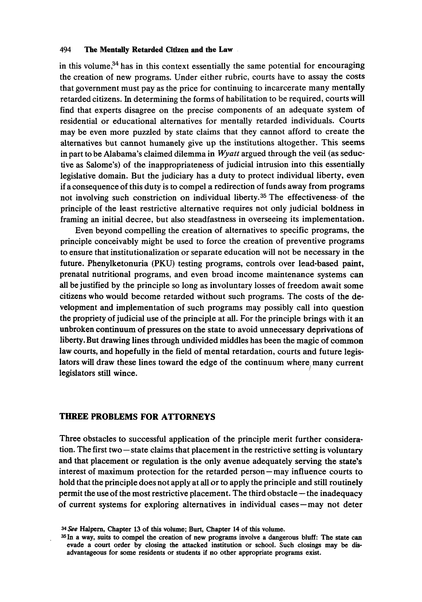in this volume, $34$  has in this context essentially the same potential for encouraging the creation of new programs. Under either rubric, courts have to assay the costs that government must pay as the price for continuing to incarcerate many mentally retarded citizens. In determining the forms of habilitation to be required, courts will find that experts disagree on the precise components of an adequate system of residential or educational alternatives for mentally retarded individuals. Courts may be even more puzzled by state claims that they cannot afford to create the alternatives but cannot humanely give up the institutions altogether. This seems in part to be Alabama's claimed dilemma in *Wyatt* argued through the veil (as seductive as Salome's) of the inappropriateness of judicial intrusion into this essentially legislative domain. But the judiciary has a duty to protect individual liberty, even if a consequence of this duty is to compel a redirection of funds away from programs not involving such constriction on individual liberty.<sup>35</sup> The effectiveness of the principle of the least restrictive alternative requires not only judicial boldness in framing an initial decree, but also steadfastness in overseeing its implementation.

Even beyond compelling the creation of alternatives to specific programs, the principle conceivably might be used to force the creation of preventive programs to ensure that institutionalization or separate education will not be necessary in the future. Phenylketonuria (PKU) testing programs, controls over lead-based paint, prenatal nutritional programs, and even broad income maintenance systems can all be justified by the principle so long as involuntary losses of freedom await some citizens who would become retarded without such programs. The costs of the development and implementation of such programs may possibly call into question the propriety of judicial use of the principle at all. For the principle brings with it an unbroken continuum of pressures on the state to avoid unnecessary deprivations of liberty.But drawing lines through undivided middles has been the magic of common law courts, and hopefully in the field of mental retardation, courts and future legislators will draw these lines toward the edge of the continuum where many current legislators still wince.

#### **THREE PROBLEMS FOR ATTORNEYS**

Three obstacles to successful application of the principle merit further consideration. The first two-state claims that placement in the restrictive setting is voluntary and that placement or regulation is the only avenue adequately serving the state's interest of maximum protection for the retarded person-may influence courts to hold that the principle does not apply at all or to apply the principle and still routinely permit the use of the most restrictive placement. The third obstacle-the inadequacy of current systems for exploring alternatives in individual cases-may not deter

<sup>34</sup> *See* Halpern, Chapter 13 of this volume; Burt, Chapter 14 of this volume.

<sup>35</sup>In a way, suits to compel the creation of new programs involve a dangerous bluff: The state can evade a court order by closing the attacked institution or school. Such closings may be disadvantageous for some residents or students if no other appropriate programs exist.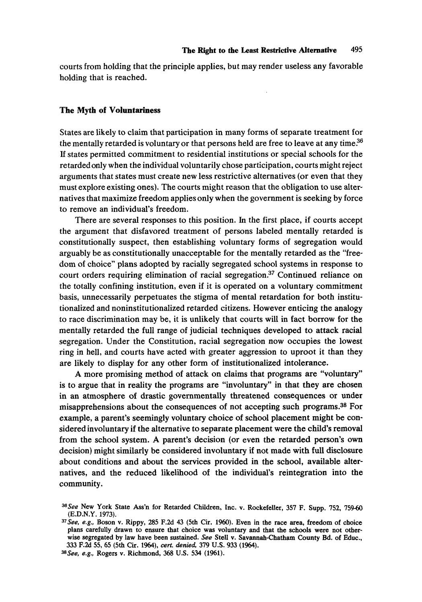courts from holding that the principle applies, but may render useless any favorable holding that is reached.

#### **The Myth of Voluntariness**

States are likely to claim that participation in many forms of separate treatment for the mentally retarded is voluntary or that persons held are free to leave at any time.<sup>36</sup> If states permitted commitment to residential institutions or special schools for the retarded only when the individual voluntarily chose participation, courts might reject arguments that states must create new less restrictive alternatives (or even that they must explore existing ones). The courts might reason that the obligation to use alternatives that maximize freedom applies only when the government is seeking by force to remove an individual's freedom.

There are several responses to this position. In the first place, if courts accept the argument that disfavored treatment of persons labeled mentally retarded is constitutionally suspect, then establishing voluntary forms of segregation would arguably be as constitutionally unacceptable for the mentally retarded as the "freedom of choice" plans adopted by racially segregated school systems in response to court orders requiring elimination of racial segregation.37 Continued reliance on the totally confining institution, even if it is operated on a voluntary commitment basis, unnecessarily perpetuates the stigma of mental retardation for both institutionalized and noninstitutionalized retarded citizens. However enticing the analogy to race discrimination may be, it is unlikely that courts will in fact borrow for the mentally retarded the full range of judicial techniques developed to attack racial segregation. Under the Constitution, racial segregation now occupies the lowest ring in hell, and courts have acted with greater aggression to uproot it than they are likely to display for any other form of institutionalized intolerance.

A more promising method of attack on claims that programs are "voluntary" is to argue that in reality the programs are "involuntary" in that they are chosen in an atmosphere of drastic governmentally threatened consequences or under misapprehensions about the consequences of not accepting such programs.38 For example, a parent's seemingly voluntary choice of school placement might be considered involuntary if the alternative to separate placement were the child's removal from the school system. A parent's decision (or even the retarded person's own decision) might similarly be considered involuntary if not made with full disclosure about conditions and about the services provided in the school, available alternatives, and the reduced likelihood of the individual's reintegration into the community.

*<sup>36</sup> See* New York State Ass'n for Retarded Children, Inc. v. Rockefeller, 357 F. Supp. 752, 759-60

<sup>&</sup>lt;sup>37</sup> See, e.g., Boson v. Rippy, 285 F.2d 43 (5th Cir. 1960). Even in the race area, freedom of choice plans carefully drawn to ensure that choice was voluntary and that the schools were not otherwise segregated by law have been sustained. *See* Stell v. Savannah-Chatham County Bd. of Educ., 333 F.2d 55, 65 (5th Cir. 1964), *cert. denied,* 379 U.S. 933 (1964).

<sup>38</sup> *See, e.g.,* Rogers v. Richmond, 368 U.S. 534 (1961).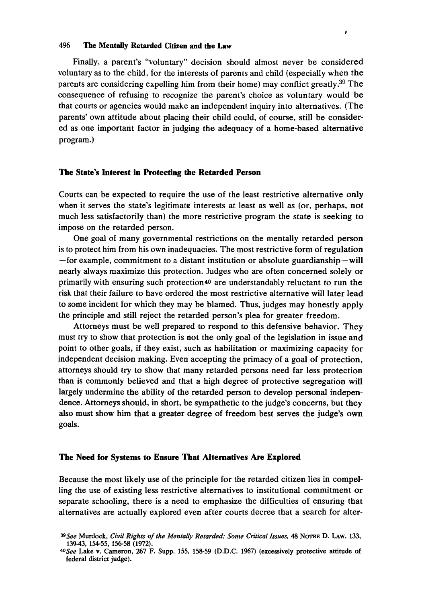Finally, a parent's "voluntary" decision should almost never be considered voluntary as to the child, for the interests of parents and child (especially when the parents are considering expelling him from their home) may conflict greatly.<sup>39</sup> The consequence of refusing to recognize the parent's choice as voluntary would be that courts or agencies would make an independent inquiry into alternatives. (The parents' own attitude about placing their child could, of course, still be considered as one important factor in judging the adequacy of a home-based alternative program.)

#### **The State's Interest** in **Protecting the Retarded Person**

Courts can be expected to require the use of the least restrictive alternative only when it serves the state's legitimate interests at least as well as (or, perhaps, not much less satisfactorily than) the more restrictive program the state is seeking to impose on the retarded person.

One goal of many governmental restrictions on the mentally retarded person is to protect him from his own inadequacies. The most restrictive form of regulation  $-$  for example, commitment to a distant institution or absolute guardianship-will nearly always maximize this protection. Judges who are often concerned solely or primarily with ensuring such protection40 are understandably reluctant to run the risk that their failure to have ordered the most restrictive alternative will later lead to some incident for which they may be blamed. Thus, judges may honestly apply the principle and still reject the retarded person's plea for greater freedom.

Attorneys must be well prepared to respond to this defensive behavior. They must try to show that protection is not the only goal of the legislation in issue and point to other goals, if they exist, such as habilitation or maximizing capacity for independent decision making. Even accepting the primacy of a goal of protection, attorneys should try to show that many retarded persons need far less protection than is commonly believed and that a high degree of protective segregation will largely undermine the ability of the retarded person to develop personal independence. Attorneys should, in short, be sympathetic to the judge's concerns, but they also must show him that a greater degree of freedom best serves the judge's own goals.

#### **The Need for Systems to Ensure That Alternatives Are Explored**

Because the most likely use of the principle for the retarded citizen lies in compelling the use of existing less restrictive alternatives to institutional commitment or separate schooling, there is a need to emphasize the difficulties of ensuring that alternatives are actually explored even after courts decree that a search for alter-

*<sup>39</sup>See* Murdock, *Civil Rights of the Mentally Retarded: Some Critical Issues,* 48 NOTRE D. LAw. 133, 139-43, 154-55, 156-58 (1972).

*<sup>40</sup>See* Lake v. Cameron, '267 F. Supp. 155, 158-59 (D.D.C. 1967) (excessively protective attitude of federal district judge).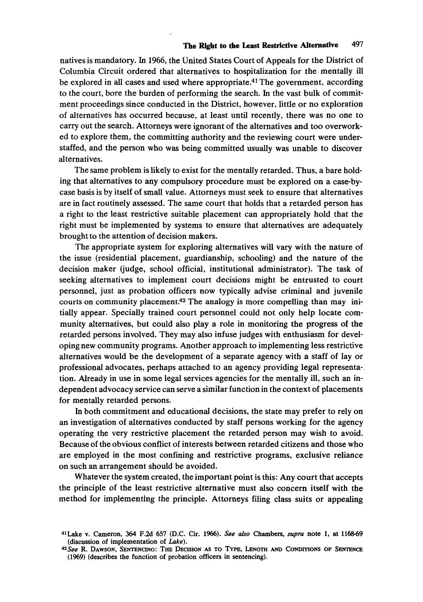natives is mandatory. In 1966, the United States Court of Appeals for the District of Columbia Circuit ordered that alternatives to hospitalization for the mentally ill be explored in all cases and used where appropriate.41 The government, according to the court, bore the burden of performing the search. In the vast bulk of commitment proceedings since conducted in the District, however, little or no exploration of alternatives has occurred because, at least until recently, there was no one to carry out the search. Attorneys were ignorant of the alternatives and too overworked to explore them, the committing authority and the reviewing court were understaffed, and the person who was being committed usually was unable to discover alternatives.

The same problem is likely to exist for the mentally retarded. Thus, a bare holding that alternatives to any compulsory procedure must be explored on a case-bycase basis is by itself of small value. Attorneys must seek to ensure that alternatives are in fact routinely assessed. The same court that holds that a retarded person has a right to the least restrictive suitable placement can appropriately hold that the right must be implemented by systems to ensure that alternatives are adequately brought to the attention of decision makers.

The appropriate system for exploring alternatives will vary with the nature of the issue (residential placement, guardianship, schooling) and the nature of the decision maker (judge, school official, institutional administrator). The task of seeking alternatives to implement court decisions might be entrusted to court personnel, just as probation officers now typically advise criminal and juvenile courts on community placement.<sup>42</sup> The analogy is more compelling than may initially appear. Specially trained court personnel could not only help locate community alternatives, but could also play a role in monitoring the progress of the retarded persons involved. They may also infuse judges with enthusiasm for developing new community programs. Another approach to implementing less restrictive alternatives would be the development of a separate agency with a staff of lay or professional advocates, perhaps attached to an agency providing legal representa-. tion. Already in use in some legal services agencies for the mentally ill, such an independent advocacy service can serve a similar function in the context of placements for mentally retarded persons.

In both commitment and educational decisions, the state may prefer to rely on an investigation of alternatives conducted by staff persons working for the agency operating the very restrictive placement the retarded person may wish to avoid. Because of the obvious conflict of interests between retarded citizens and those who are employed in the most confining and restrictive programs, exclusive reliance on such an arrangement should be avoided.

Whatever the system created, the important point is this: Any court that accepts the principle of the least restrictive alternative must also concern itself with the method for implementing the principle. Attorneys filing class suits or appealing

<sup>41</sup>Lake v. Cameron, 364 F.2d 657 (D.C. Cir. 1966). *See also* Chambers, *supra* note 1, at 1168-69 (discussion of implementation of Lake).

<sup>42</sup> See R. DAWSON, SENTENCING: THE DECISION AS TO TYPE, LENGTH AND CONDITIONS OF SENTENCE (1969) (describes the function of probation officers in sentencing).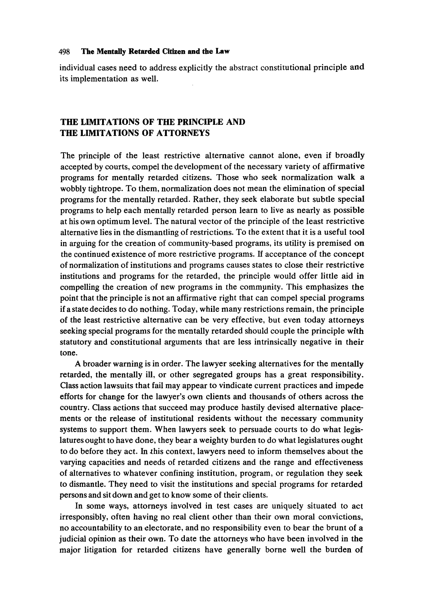individual cases need to address explicitly the abstract constitutional principle and its implementation as well.

#### **THE LIMITATIONS OF THE PRINCIPLE AND THE LIMITATIONS OF ATTORNEYS**

The principle of the least restrictive alternative cannot alone, even if broadly accepted by courts, compel the development of the necessary variety of affirmative programs for mentally retarded citizens. Those who seek normalization **walk a**  wobbly tightrope. To them, normalization does not mean the elimination of special programs for the mentally retarded. Rather, they seek elaborate but subtle special programs to help each mentally retarded person learn to live as nearly as possible at his own optimum level. The natural vector of the principle of the least restrictive alternative lies in the dismantling of restrictions. To the extent that it is a useful tool in arguing for the creation of community-based programs, its utility is premised **on**  the continued existence of more restrictive programs. If acceptance of the concept of normalization of institutions and programs causes states to close their restrictive institutions and programs for the retarded, the principle would offer little aid **in**  compelling the creation of new programs in the community. This emphasizes the point that the principle is not an affirmative right that can compel special programs if a state decides to do nothing. Today, while many restrictions remain, the principle of the least restrictive alternative can be very effective, but even today attorneys seeking special programs for the mentally retarded should couple the principle with statutory and constitutional arguments that are less intrinsically negative in their tone.

A broader warning is in order. The lawyer seeking alternatives for the mentally retarded, the mentally ill, or other segregated groups has a great responsibility. Class action lawsuits that fail may appear to vindicate current practices and impede efforts for change for the lawyer's own clients and thousands of others across the country. Class actions that succeed may produce hastily devised alternative placements or the release of institutional residents without the necessary community systems to support them. When lawyers seek to persuade courts to do what legislatures ought to have done, they bear a weighty burden to do what legislatures ought to do before they act. In this context, lawyers need to inform themselves about the varying capacities and needs of retarded citizens and the range and effectiveness of alternatives to whatever confining institution, program, or regulation they seek to dismantle. They need to visit the institutions and special programs for retarded persons and sit down and get to know some of their clients.

In some ways, attorneys involved in test cases are uniquely situated to act irresponsibly, often having no real client other than their own moral convictions, no accountability to an electorate, and no responsibility even to bear the brunt of a judicial opinion as their own. To date the attorneys who have been involved in the major litigation for retarded citizens have generally borne well the burden of